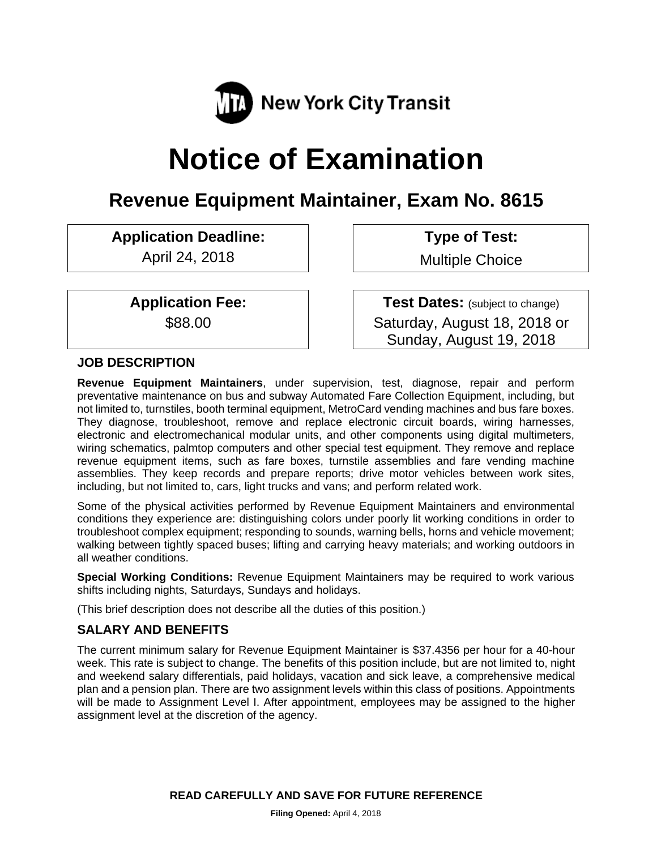

# **Notice of Examination**

# **Revenue Equipment Maintainer, Exam No. 8615**

**Application Deadline: Type of Test:** 

April 24, 2018 **Multiple Choice** 

**Application Fee:**  $\vert$  **Test Dates:** (subject to change) \$88.00 Saturday, August 18, 2018 or Sunday, August 19, 2018

#### **JOB DESCRIPTION**

**Revenue Equipment Maintainers**, under supervision, test, diagnose, repair and perform preventative maintenance on bus and subway Automated Fare Collection Equipment, including, but not limited to, turnstiles, booth terminal equipment, MetroCard vending machines and bus fare boxes. They diagnose, troubleshoot, remove and replace electronic circuit boards, wiring harnesses, electronic and electromechanical modular units, and other components using digital multimeters, wiring schematics, palmtop computers and other special test equipment. They remove and replace revenue equipment items, such as fare boxes, turnstile assemblies and fare vending machine assemblies. They keep records and prepare reports; drive motor vehicles between work sites, including, but not limited to, cars, light trucks and vans; and perform related work.

Some of the physical activities performed by Revenue Equipment Maintainers and environmental conditions they experience are: distinguishing colors under poorly lit working conditions in order to troubleshoot complex equipment; responding to sounds, warning bells, horns and vehicle movement; walking between tightly spaced buses; lifting and carrying heavy materials; and working outdoors in all weather conditions.

**Special Working Conditions:** Revenue Equipment Maintainers may be required to work various shifts including nights, Saturdays, Sundays and holidays.

(This brief description does not describe all the duties of this position.)

# **SALARY AND BENEFITS**

The current minimum salary for Revenue Equipment Maintainer is \$37.4356 per hour for a 40-hour week. This rate is subject to change. The benefits of this position include, but are not limited to, night and weekend salary differentials, paid holidays, vacation and sick leave, a comprehensive medical plan and a pension plan. There are two assignment levels within this class of positions. Appointments will be made to Assignment Level I. After appointment, employees may be assigned to the higher assignment level at the discretion of the agency.

**READ CAREFULLY AND SAVE FOR FUTURE REFERENCE**

**Filing Opened:** April 4, 2018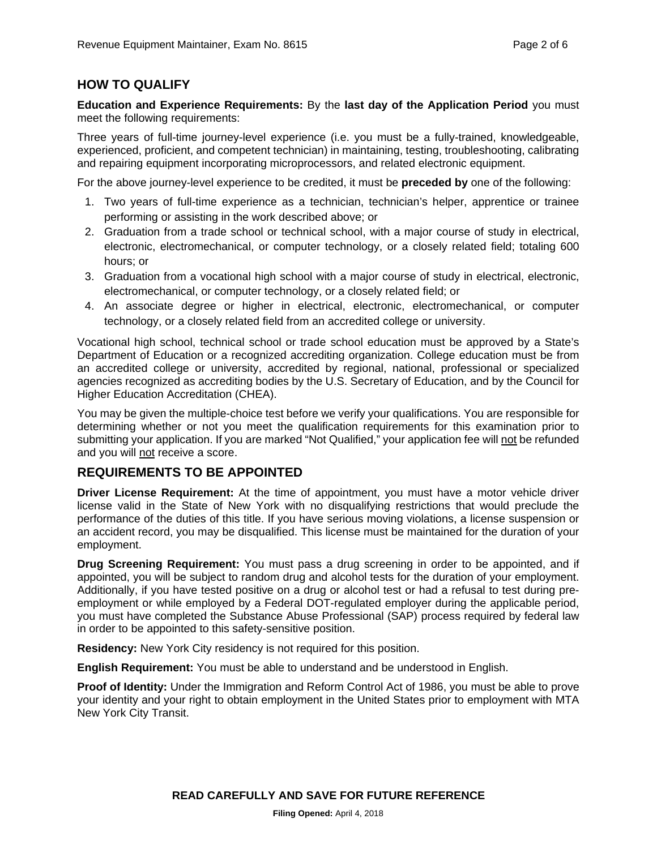# **HOW TO QUALIFY**

**Education and Experience Requirements:** By the **last day of the Application Period** you must meet the following requirements:

Three years of full-time journey-level experience (i.e. you must be a fully-trained, knowledgeable, experienced, proficient, and competent technician) in maintaining, testing, troubleshooting, calibrating and repairing equipment incorporating microprocessors, and related electronic equipment.

For the above journey-level experience to be credited, it must be **preceded by** one of the following:

- 1. Two years of full-time experience as a technician, technician's helper, apprentice or trainee performing or assisting in the work described above; or
- 2. Graduation from a trade school or technical school, with a major course of study in electrical, electronic, electromechanical, or computer technology, or a closely related field; totaling 600 hours; or
- 3. Graduation from a vocational high school with a major course of study in electrical, electronic, electromechanical, or computer technology, or a closely related field; or
- 4. An associate degree or higher in electrical, electronic, electromechanical, or computer technology, or a closely related field from an accredited college or university.

Vocational high school, technical school or trade school education must be approved by a State's Department of Education or a recognized accrediting organization. College education must be from an accredited college or university, accredited by regional, national, professional or specialized agencies recognized as accrediting bodies by the U.S. Secretary of Education, and by the Council for Higher Education Accreditation (CHEA).

You may be given the multiple-choice test before we verify your qualifications. You are responsible for determining whether or not you meet the qualification requirements for this examination prior to submitting your application. If you are marked "Not Qualified," your application fee will not be refunded and you will not receive a score.

# **REQUIREMENTS TO BE APPOINTED**

**Driver License Requirement:** At the time of appointment, you must have a motor vehicle driver license valid in the State of New York with no disqualifying restrictions that would preclude the performance of the duties of this title. If you have serious moving violations, a license suspension or an accident record, you may be disqualified. This license must be maintained for the duration of your employment.

**Drug Screening Requirement:** You must pass a drug screening in order to be appointed, and if appointed, you will be subject to random drug and alcohol tests for the duration of your employment. Additionally, if you have tested positive on a drug or alcohol test or had a refusal to test during preemployment or while employed by a Federal DOT-regulated employer during the applicable period, you must have completed the Substance Abuse Professional (SAP) process required by federal law in order to be appointed to this safety-sensitive position.

**Residency:** New York City residency is not required for this position.

**English Requirement:** You must be able to understand and be understood in English.

**Proof of Identity:** Under the Immigration and Reform Control Act of 1986, you must be able to prove your identity and your right to obtain employment in the United States prior to employment with MTA New York City Transit.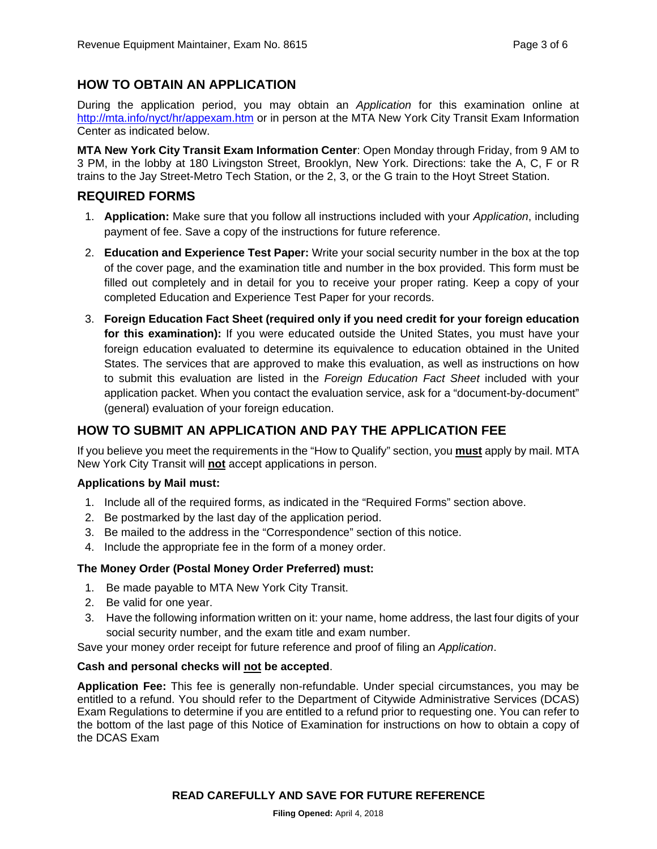# **HOW TO OBTAIN AN APPLICATION**

During the application period, you may obtain an *Application* for this examination online at http://mta.info/nyct/hr/appexam.htm or in person at the MTA New York City Transit Exam Information Center as indicated below.

**MTA New York City Transit Exam Information Center**: Open Monday through Friday, from 9 AM to 3 PM, in the lobby at 180 Livingston Street, Brooklyn, New York. Directions: take the A, C, F or R trains to the Jay Street-Metro Tech Station, or the 2, 3, or the G train to the Hoyt Street Station.

#### **REQUIRED FORMS**

- 1. **Application:** Make sure that you follow all instructions included with your *Application*, including payment of fee. Save a copy of the instructions for future reference.
- 2. **Education and Experience Test Paper:** Write your social security number in the box at the top of the cover page, and the examination title and number in the box provided. This form must be filled out completely and in detail for you to receive your proper rating. Keep a copy of your completed Education and Experience Test Paper for your records.
- 3. **Foreign Education Fact Sheet (required only if you need credit for your foreign education for this examination):** If you were educated outside the United States, you must have your foreign education evaluated to determine its equivalence to education obtained in the United States. The services that are approved to make this evaluation, as well as instructions on how to submit this evaluation are listed in the *Foreign Education Fact Sheet* included with your application packet. When you contact the evaluation service, ask for a "document-by-document" (general) evaluation of your foreign education.

# **HOW TO SUBMIT AN APPLICATION AND PAY THE APPLICATION FEE**

If you believe you meet the requirements in the "How to Qualify" section, you **must** apply by mail. MTA New York City Transit will **not** accept applications in person.

#### **Applications by Mail must:**

- 1. Include all of the required forms, as indicated in the "Required Forms" section above.
- 2. Be postmarked by the last day of the application period.
- 3. Be mailed to the address in the "Correspondence" section of this notice.
- 4. Include the appropriate fee in the form of a money order.

#### **The Money Order (Postal Money Order Preferred) must:**

- 1. Be made payable to MTA New York City Transit.
- 2. Be valid for one year.
- 3. Have the following information written on it: your name, home address, the last four digits of your social security number, and the exam title and exam number.

Save your money order receipt for future reference and proof of filing an *Application*.

#### **Cash and personal checks will not be accepted**.

**Application Fee:** This fee is generally non-refundable. Under special circumstances, you may be entitled to a refund. You should refer to the Department of Citywide Administrative Services (DCAS) Exam Regulations to determine if you are entitled to a refund prior to requesting one. You can refer to the bottom of the last page of this Notice of Examination for instructions on how to obtain a copy of the DCAS Exam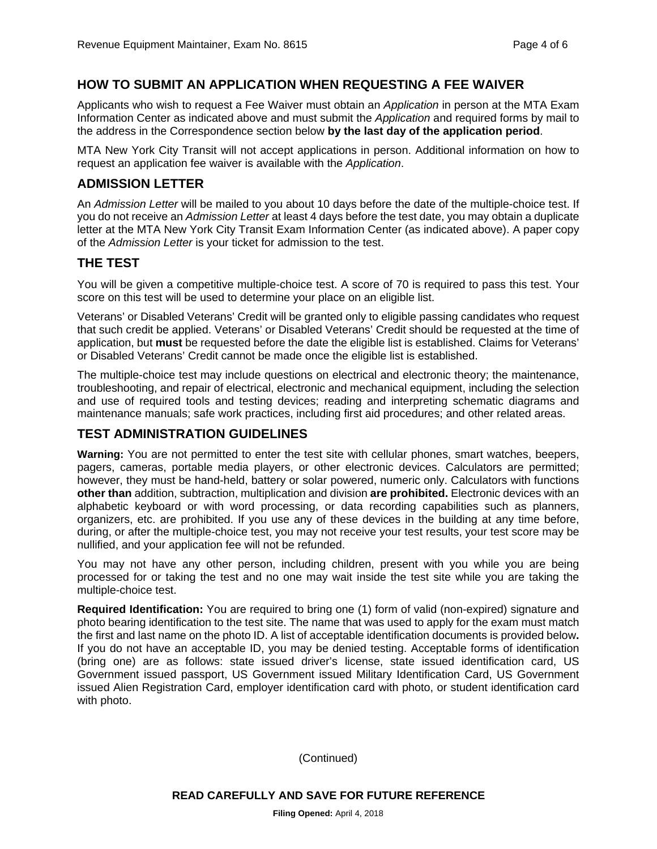#### **HOW TO SUBMIT AN APPLICATION WHEN REQUESTING A FEE WAIVER**

Applicants who wish to request a Fee Waiver must obtain an *Application* in person at the MTA Exam Information Center as indicated above and must submit the *Application* and required forms by mail to the address in the Correspondence section below **by the last day of the application period**.

MTA New York City Transit will not accept applications in person. Additional information on how to request an application fee waiver is available with the *Application*.

#### **ADMISSION LETTER**

An *Admission Letter* will be mailed to you about 10 days before the date of the multiple-choice test. If you do not receive an *Admission Letter* at least 4 days before the test date, you may obtain a duplicate letter at the MTA New York City Transit Exam Information Center (as indicated above). A paper copy of the *Admission Letter* is your ticket for admission to the test.

#### **THE TEST**

You will be given a competitive multiple-choice test. A score of 70 is required to pass this test. Your score on this test will be used to determine your place on an eligible list.

Veterans' or Disabled Veterans' Credit will be granted only to eligible passing candidates who request that such credit be applied. Veterans' or Disabled Veterans' Credit should be requested at the time of application, but **must** be requested before the date the eligible list is established. Claims for Veterans' or Disabled Veterans' Credit cannot be made once the eligible list is established.

The multiple-choice test may include questions on electrical and electronic theory; the maintenance, troubleshooting, and repair of electrical, electronic and mechanical equipment, including the selection and use of required tools and testing devices; reading and interpreting schematic diagrams and maintenance manuals; safe work practices, including first aid procedures; and other related areas.

#### **TEST ADMINISTRATION GUIDELINES**

**Warning:** You are not permitted to enter the test site with cellular phones, smart watches, beepers, pagers, cameras, portable media players, or other electronic devices. Calculators are permitted; however, they must be hand-held, battery or solar powered, numeric only. Calculators with functions **other than** addition, subtraction, multiplication and division **are prohibited.** Electronic devices with an alphabetic keyboard or with word processing, or data recording capabilities such as planners, organizers, etc. are prohibited. If you use any of these devices in the building at any time before, during, or after the multiple-choice test, you may not receive your test results, your test score may be nullified, and your application fee will not be refunded.

You may not have any other person, including children, present with you while you are being processed for or taking the test and no one may wait inside the test site while you are taking the multiple-choice test.

**Required Identification:** You are required to bring one (1) form of valid (non-expired) signature and photo bearing identification to the test site. The name that was used to apply for the exam must match the first and last name on the photo ID. A list of acceptable identification documents is provided below**.**  If you do not have an acceptable ID, you may be denied testing. Acceptable forms of identification (bring one) are as follows: state issued driver's license, state issued identification card, US Government issued passport, US Government issued Military Identification Card, US Government issued Alien Registration Card, employer identification card with photo, or student identification card with photo.

(Continued)

**READ CAREFULLY AND SAVE FOR FUTURE REFERENCE**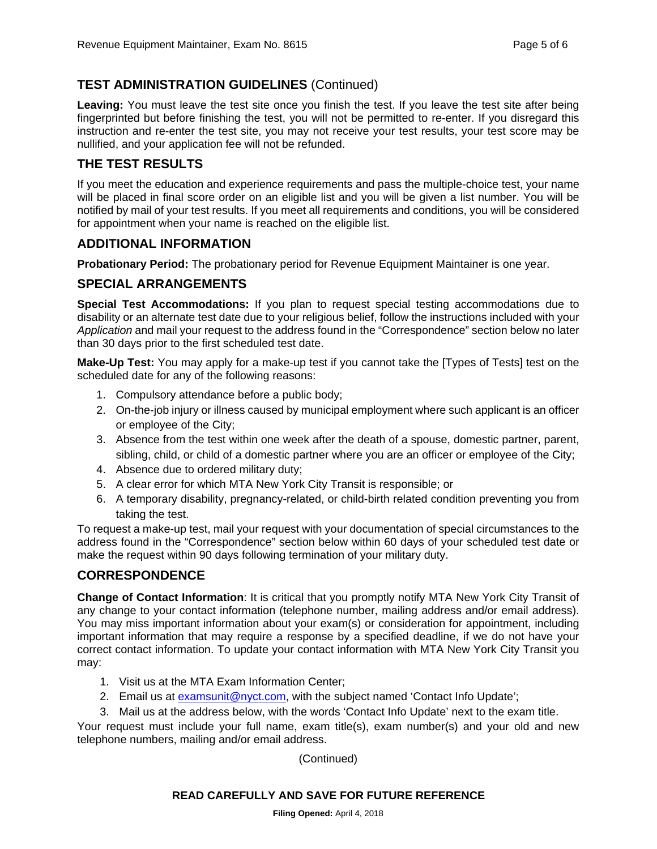# **TEST ADMINISTRATION GUIDELINES** (Continued)

Leaving: You must leave the test site once you finish the test. If you leave the test site after being fingerprinted but before finishing the test, you will not be permitted to re-enter. If you disregard this instruction and re-enter the test site, you may not receive your test results, your test score may be nullified, and your application fee will not be refunded.

#### **THE TEST RESULTS**

If you meet the education and experience requirements and pass the multiple-choice test, your name will be placed in final score order on an eligible list and you will be given a list number. You will be notified by mail of your test results. If you meet all requirements and conditions, you will be considered for appointment when your name is reached on the eligible list.

#### **ADDITIONAL INFORMATION**

**Probationary Period:** The probationary period for Revenue Equipment Maintainer is one year.

#### **SPECIAL ARRANGEMENTS**

**Special Test Accommodations:** If you plan to request special testing accommodations due to disability or an alternate test date due to your religious belief, follow the instructions included with your *Application* and mail your request to the address found in the "Correspondence" section below no later than 30 days prior to the first scheduled test date.

**Make-Up Test:** You may apply for a make-up test if you cannot take the [Types of Tests] test on the scheduled date for any of the following reasons:

- 1. Compulsory attendance before a public body;
- 2. On-the-job injury or illness caused by municipal employment where such applicant is an officer or employee of the City;
- 3. Absence from the test within one week after the death of a spouse, domestic partner, parent, sibling, child, or child of a domestic partner where you are an officer or employee of the City;
- 4. Absence due to ordered military duty;
- 5. A clear error for which MTA New York City Transit is responsible; or
- 6. A temporary disability, pregnancy-related, or child-birth related condition preventing you from taking the test.

To request a make-up test, mail your request with your documentation of special circumstances to the address found in the "Correspondence" section below within 60 days of your scheduled test date or make the request within 90 days following termination of your military duty.

#### **CORRESPONDENCE**

**Change of Contact Information**: It is critical that you promptly notify MTA New York City Transit of any change to your contact information (telephone number, mailing address and/or email address). You may miss important information about your exam(s) or consideration for appointment, including important information that may require a response by a specified deadline, if we do not have your correct contact information. To update your contact information with MTA New York City Transit you may:

- 1. Visit us at the MTA Exam Information Center;
- 2. Email us at examsunit@nyct.com, with the subject named 'Contact Info Update';
- 3. Mail us at the address below, with the words 'Contact Info Update' next to the exam title.

Your request must include your full name, exam title(s), exam number(s) and your old and new telephone numbers, mailing and/or email address.

(Continued)

#### **READ CAREFULLY AND SAVE FOR FUTURE REFERENCE**